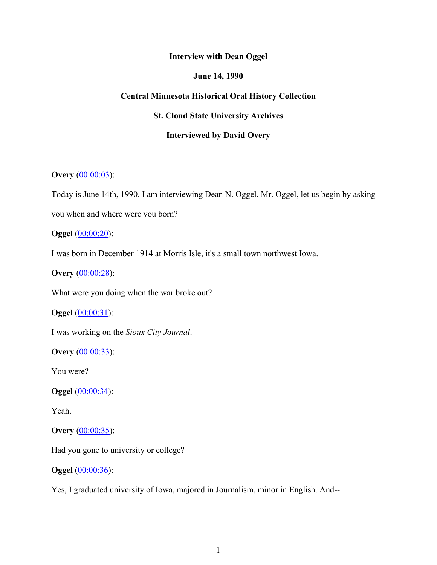### **Interview with Dean Oggel**

## **June 14, 1990**

# **Central Minnesota Historical Oral History Collection**

**St. Cloud State University Archives**

# **Interviewed by David Overy**

# **Overy** (00:00:03):

Today is June 14th, 1990. I am interviewing Dean N. Oggel. Mr. Oggel, let us begin by asking

you when and where were you born?

### **Oggel** (00:00:20):

I was born in December 1914 at Morris Isle, it's a small town northwest Iowa.

**Overy** (00:00:28):

What were you doing when the war broke out?

**Oggel** (00:00:31):

I was working on the *Sioux City Journal*.

**Overy** (00:00:33):

You were?

**Oggel** (00:00:34):

Yeah.

**Overy** (00:00:35):

Had you gone to university or college?

#### **Oggel** (00:00:36):

Yes, I graduated university of Iowa, majored in Journalism, minor in English. And--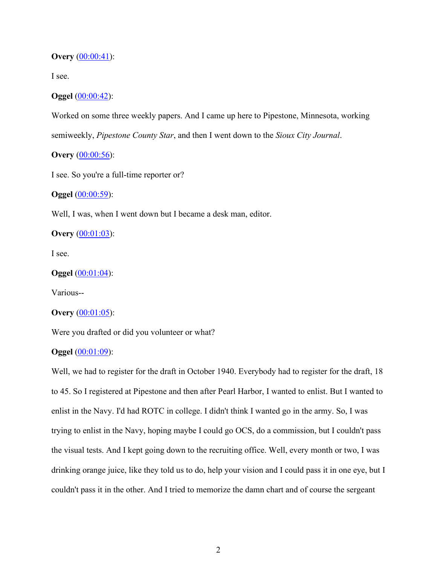#### **Overy** (00:00:41):

I see.

### **Oggel** (00:00:42):

Worked on some three weekly papers. And I came up here to Pipestone, Minnesota, working

semiweekly, *Pipestone County Star*, and then I went down to the *Sioux City Journal*.

# **Overy** (00:00:56):

I see. So you're a full-time reporter or?

### **Oggel** (00:00:59):

Well, I was, when I went down but I became a desk man, editor.

**Overy** (00:01:03):

I see.

#### **Oggel** (00:01:04):

Various--

#### **Overy** (00:01:05):

Were you drafted or did you volunteer or what?

## **Oggel** (00:01:09):

Well, we had to register for the draft in October 1940. Everybody had to register for the draft, 18 to 45. So I registered at Pipestone and then after Pearl Harbor, I wanted to enlist. But I wanted to enlist in the Navy. I'd had ROTC in college. I didn't think I wanted go in the army. So, I was trying to enlist in the Navy, hoping maybe I could go OCS, do a commission, but I couldn't pass the visual tests. And I kept going down to the recruiting office. Well, every month or two, I was drinking orange juice, like they told us to do, help your vision and I could pass it in one eye, but I couldn't pass it in the other. And I tried to memorize the damn chart and of course the sergeant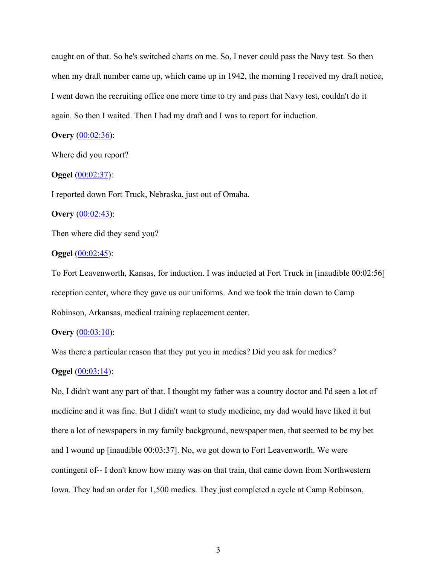caught on of that. So he's switched charts on me. So, I never could pass the Navy test. So then when my draft number came up, which came up in 1942, the morning I received my draft notice, I went down the recruiting office one more time to try and pass that Navy test, couldn't do it again. So then I waited. Then I had my draft and I was to report for induction.

### **Overy** (00:02:36):

Where did you report?

#### **Oggel** (00:02:37):

I reported down Fort Truck, Nebraska, just out of Omaha.

#### **Overy** (00:02:43):

Then where did they send you?

#### **Oggel** (00:02:45):

To Fort Leavenworth, Kansas, for induction. I was inducted at Fort Truck in [inaudible 00:02:56] reception center, where they gave us our uniforms. And we took the train down to Camp Robinson, Arkansas, medical training replacement center.

### **Overy** (00:03:10):

Was there a particular reason that they put you in medics? Did you ask for medics?

### **Oggel** (00:03:14):

No, I didn't want any part of that. I thought my father was a country doctor and I'd seen a lot of medicine and it was fine. But I didn't want to study medicine, my dad would have liked it but there a lot of newspapers in my family background, newspaper men, that seemed to be my bet and I wound up [inaudible 00:03:37]. No, we got down to Fort Leavenworth. We were contingent of-- I don't know how many was on that train, that came down from Northwestern Iowa. They had an order for 1,500 medics. They just completed a cycle at Camp Robinson,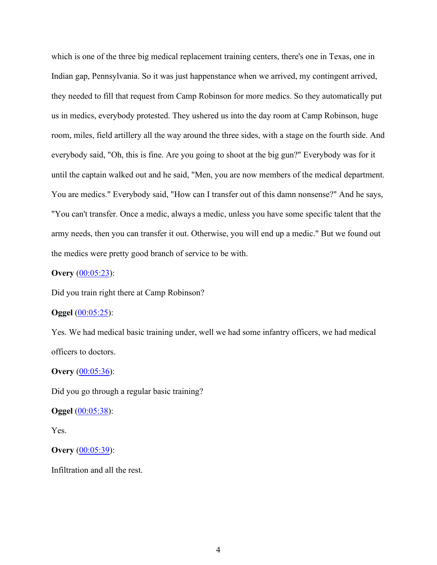which is one of the three big medical replacement training centers, there's one in Texas, one in Indian gap, Pennsylvania. So it was just happenstance when we arrived, my contingent arrived, they needed to fill that request from Camp Robinson for more medics. So they automatically put us in medics, everybody protested. They ushered us into the day room at Camp Robinson, huge room, miles, field artillery all the way around the three sides, with a stage on the fourth side. And everybody said, "Oh, this is fine. Are you going to shoot at the big gun?" Everybody was for it until the captain walked out and he said, "Men, you are now members of the medical department. You are medics." Everybody said, "How can I transfer out of this damn nonsense?" And he says, "You can't transfer. Once a medic, always a medic, unless you have some specific talent that the army needs, then you can transfer it out. Otherwise, you will end up a medic." But we found out the medics were pretty good branch of service to be with.

# **Overy** (00:05:23):

Did you train right there at Camp Robinson?

#### **Oggel** (00:05:25):

Yes. We had medical basic training under, well we had some infantry officers, we had medical officers to doctors.

### **Overy** (00:05:36):

Did you go through a regular basic training?

### **Oggel** (00:05:38):

Yes.

# **Overy** (00:05:39):

Infiltration and all the rest.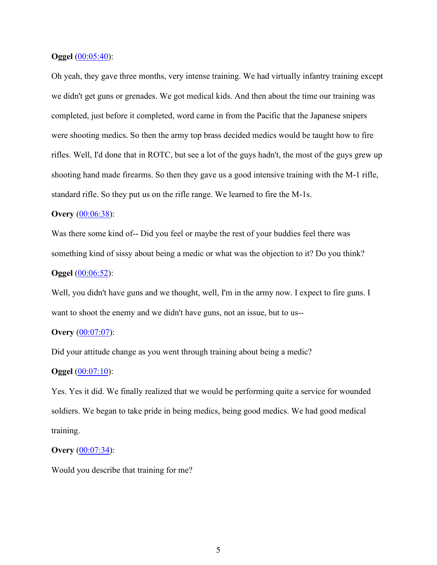#### **Oggel** (00:05:40):

Oh yeah, they gave three months, very intense training. We had virtually infantry training except we didn't get guns or grenades. We got medical kids. And then about the time our training was completed, just before it completed, word came in from the Pacific that the Japanese snipers were shooting medics. So then the army top brass decided medics would be taught how to fire rifles. Well, I'd done that in ROTC, but see a lot of the guys hadn't, the most of the guys grew up shooting hand made firearms. So then they gave us a good intensive training with the M-1 rifle, standard rifle. So they put us on the rifle range. We learned to fire the M-1s.

### **Overy** (00:06:38):

Was there some kind of-- Did you feel or maybe the rest of your buddies feel there was something kind of sissy about being a medic or what was the objection to it? Do you think?

# **Oggel** (00:06:52):

Well, you didn't have guns and we thought, well, I'm in the army now. I expect to fire guns. I want to shoot the enemy and we didn't have guns, not an issue, but to us--

### **Overy** (00:07:07):

Did your attitude change as you went through training about being a medic?

### **Oggel** (00:07:10):

Yes. Yes it did. We finally realized that we would be performing quite a service for wounded soldiers. We began to take pride in being medics, being good medics. We had good medical training.

#### **Overy** (00:07:34):

Would you describe that training for me?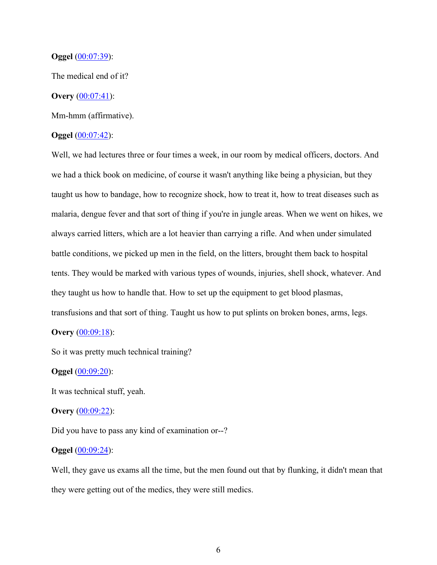#### **Oggel** (00:07:39):

The medical end of it?

## **Overy** (00:07:41):

Mm-hmm (affirmative).

### **Oggel** (00:07:42):

Well, we had lectures three or four times a week, in our room by medical officers, doctors. And we had a thick book on medicine, of course it wasn't anything like being a physician, but they taught us how to bandage, how to recognize shock, how to treat it, how to treat diseases such as malaria, dengue fever and that sort of thing if you're in jungle areas. When we went on hikes, we always carried litters, which are a lot heavier than carrying a rifle. And when under simulated battle conditions, we picked up men in the field, on the litters, brought them back to hospital tents. They would be marked with various types of wounds, injuries, shell shock, whatever. And they taught us how to handle that. How to set up the equipment to get blood plasmas, transfusions and that sort of thing. Taught us how to put splints on broken bones, arms, legs.

# **Overy** (00:09:18):

So it was pretty much technical training?

#### **Oggel** (00:09:20):

It was technical stuff, yeah.

#### **Overy** (00:09:22):

Did you have to pass any kind of examination or--?

### **Oggel** (00:09:24):

Well, they gave us exams all the time, but the men found out that by flunking, it didn't mean that they were getting out of the medics, they were still medics.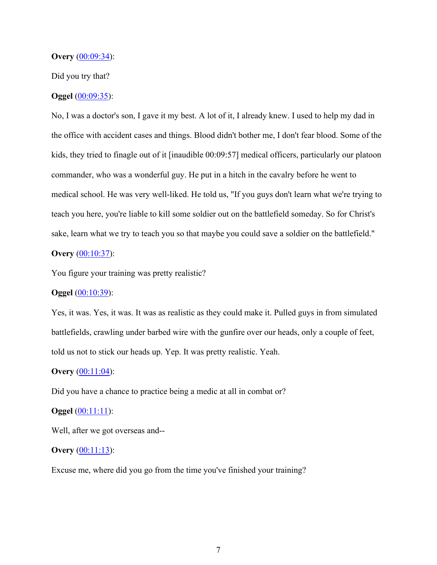#### **Overy** (00:09:34):

### Did you try that?

### **Oggel** (00:09:35):

No, I was a doctor's son, I gave it my best. A lot of it, I already knew. I used to help my dad in the office with accident cases and things. Blood didn't bother me, I don't fear blood. Some of the kids, they tried to finagle out of it [inaudible 00:09:57] medical officers, particularly our platoon commander, who was a wonderful guy. He put in a hitch in the cavalry before he went to medical school. He was very well-liked. He told us, "If you guys don't learn what we're trying to teach you here, you're liable to kill some soldier out on the battlefield someday. So for Christ's sake, learn what we try to teach you so that maybe you could save a soldier on the battlefield."

# **Overy** (00:10:37):

You figure your training was pretty realistic?

# **Oggel** (00:10:39):

Yes, it was. Yes, it was. It was as realistic as they could make it. Pulled guys in from simulated battlefields, crawling under barbed wire with the gunfire over our heads, only a couple of feet, told us not to stick our heads up. Yep. It was pretty realistic. Yeah.

### **Overy** (00:11:04):

Did you have a chance to practice being a medic at all in combat or?

#### **Oggel** (00:11:11):

Well, after we got overseas and--

### **Overy** (00:11:13):

Excuse me, where did you go from the time you've finished your training?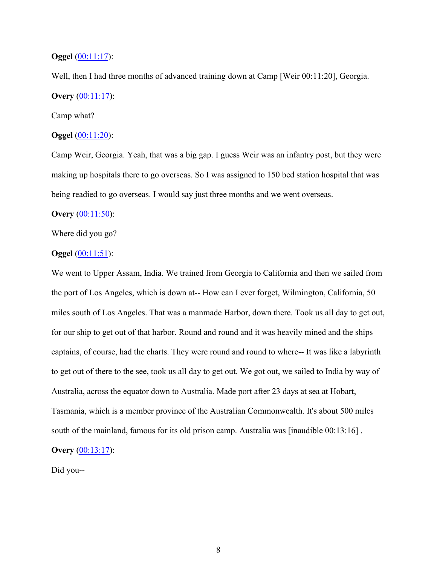## **Oggel** (00:11:17):

Well, then I had three months of advanced training down at Camp [Weir 00:11:20], Georgia. **Overy** (00:11:17):

# Camp what?

# **Oggel** (00:11:20):

Camp Weir, Georgia. Yeah, that was a big gap. I guess Weir was an infantry post, but they were making up hospitals there to go overseas. So I was assigned to 150 bed station hospital that was being readied to go overseas. I would say just three months and we went overseas.

### **Overy** (00:11:50):

Where did you go?

#### **Oggel** (00:11:51):

We went to Upper Assam, India. We trained from Georgia to California and then we sailed from the port of Los Angeles, which is down at-- How can I ever forget, Wilmington, California, 50 miles south of Los Angeles. That was a manmade Harbor, down there. Took us all day to get out, for our ship to get out of that harbor. Round and round and it was heavily mined and the ships captains, of course, had the charts. They were round and round to where-- It was like a labyrinth to get out of there to the see, took us all day to get out. We got out, we sailed to India by way of Australia, across the equator down to Australia. Made port after 23 days at sea at Hobart, Tasmania, which is a member province of the Australian Commonwealth. It's about 500 miles south of the mainland, famous for its old prison camp. Australia was [inaudible 00:13:16] .

# **Overy** (00:13:17):

Did you--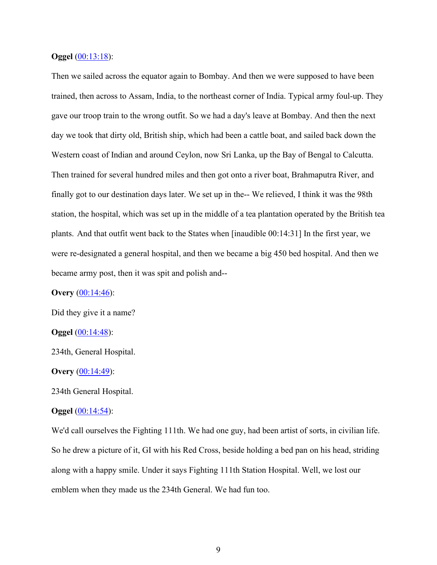### **Oggel** (00:13:18):

Then we sailed across the equator again to Bombay. And then we were supposed to have been trained, then across to Assam, India, to the northeast corner of India. Typical army foul-up. They gave our troop train to the wrong outfit. So we had a day's leave at Bombay. And then the next day we took that dirty old, British ship, which had been a cattle boat, and sailed back down the Western coast of Indian and around Ceylon, now Sri Lanka, up the Bay of Bengal to Calcutta. Then trained for several hundred miles and then got onto a river boat, Brahmaputra River, and finally got to our destination days later. We set up in the-- We relieved, I think it was the 98th station, the hospital, which was set up in the middle of a tea plantation operated by the British tea plants. And that outfit went back to the States when [inaudible 00:14:31] In the first year, we were re-designated a general hospital, and then we became a big 450 bed hospital. And then we became army post, then it was spit and polish and--

**Overy** (00:14:46):

Did they give it a name?

**Oggel** (00:14:48):

234th, General Hospital.

#### **Overy** (00:14:49):

234th General Hospital.

#### **Oggel** (00:14:54):

We'd call ourselves the Fighting 111th. We had one guy, had been artist of sorts, in civilian life. So he drew a picture of it, GI with his Red Cross, beside holding a bed pan on his head, striding along with a happy smile. Under it says Fighting 111th Station Hospital. Well, we lost our emblem when they made us the 234th General. We had fun too.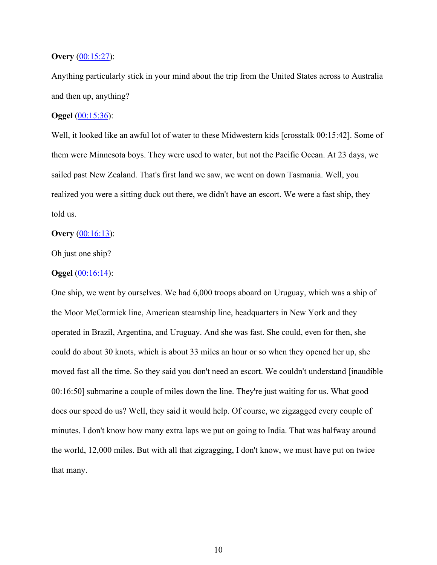### **Overy** (00:15:27):

Anything particularly stick in your mind about the trip from the United States across to Australia and then up, anything?

### **Oggel** (00:15:36):

Well, it looked like an awful lot of water to these Midwestern kids [crosstalk 00:15:42]. Some of them were Minnesota boys. They were used to water, but not the Pacific Ocean. At 23 days, we sailed past New Zealand. That's first land we saw, we went on down Tasmania. Well, you realized you were a sitting duck out there, we didn't have an escort. We were a fast ship, they told us.

#### **Overy** (00:16:13):

Oh just one ship?

#### **Oggel** (00:16:14):

One ship, we went by ourselves. We had 6,000 troops aboard on Uruguay, which was a ship of the Moor McCormick line, American steamship line, headquarters in New York and they operated in Brazil, Argentina, and Uruguay. And she was fast. She could, even for then, she could do about 30 knots, which is about 33 miles an hour or so when they opened her up, she moved fast all the time. So they said you don't need an escort. We couldn't understand [inaudible 00:16:50] submarine a couple of miles down the line. They're just waiting for us. What good does our speed do us? Well, they said it would help. Of course, we zigzagged every couple of minutes. I don't know how many extra laps we put on going to India. That was halfway around the world, 12,000 miles. But with all that zigzagging, I don't know, we must have put on twice that many.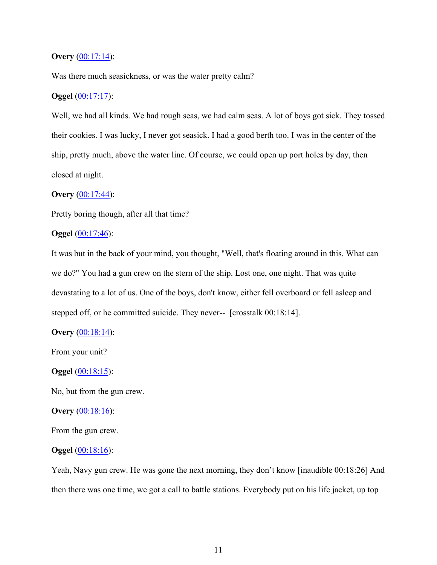### **Overy** (00:17:14):

Was there much seasickness, or was the water pretty calm?

## **Oggel** (00:17:17):

Well, we had all kinds. We had rough seas, we had calm seas. A lot of boys got sick. They tossed their cookies. I was lucky, I never got seasick. I had a good berth too. I was in the center of the ship, pretty much, above the water line. Of course, we could open up port holes by day, then closed at night.

### **Overy** (00:17:44):

Pretty boring though, after all that time?

### **Oggel** (00:17:46):

It was but in the back of your mind, you thought, "Well, that's floating around in this. What can we do?" You had a gun crew on the stern of the ship. Lost one, one night. That was quite devastating to a lot of us. One of the boys, don't know, either fell overboard or fell asleep and stepped off, or he committed suicide. They never-- [crosstalk 00:18:14].

### **Overy** (00:18:14):

From your unit?

### **Oggel** (00:18:15):

No, but from the gun crew.

#### **Overy** (00:18:16):

From the gun crew.

### **Oggel** (00:18:16):

Yeah, Navy gun crew. He was gone the next morning, they don't know [inaudible 00:18:26] And then there was one time, we got a call to battle stations. Everybody put on his life jacket, up top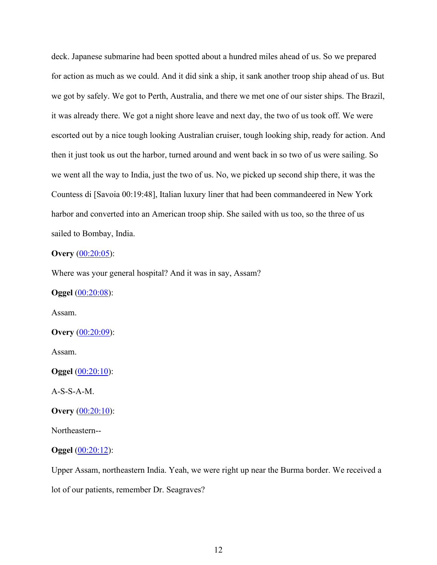deck. Japanese submarine had been spotted about a hundred miles ahead of us. So we prepared for action as much as we could. And it did sink a ship, it sank another troop ship ahead of us. But we got by safely. We got to Perth, Australia, and there we met one of our sister ships. The Brazil, it was already there. We got a night shore leave and next day, the two of us took off. We were escorted out by a nice tough looking Australian cruiser, tough looking ship, ready for action. And then it just took us out the harbor, turned around and went back in so two of us were sailing. So we went all the way to India, just the two of us. No, we picked up second ship there, it was the Countess di [Savoia 00:19:48], Italian luxury liner that had been commandeered in New York harbor and converted into an American troop ship. She sailed with us too, so the three of us sailed to Bombay, India.

### **Overy** (00:20:05):

Where was your general hospital? And it was in say, Assam?

**Oggel** (00:20:08):

Assam.

**Overy** (00:20:09):

Assam.

**Oggel** (00:20:10):

A-S-S-A-M.

**Overy** (00:20:10):

Northeastern--

**Oggel** (00:20:12):

Upper Assam, northeastern India. Yeah, we were right up near the Burma border. We received a lot of our patients, remember Dr. Seagraves?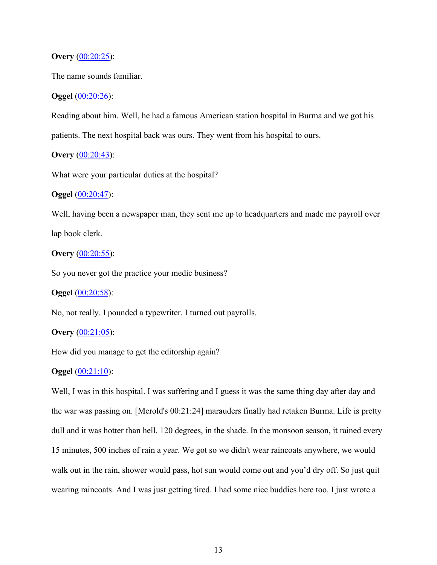### **Overy** (00:20:25):

The name sounds familiar.

#### **Oggel** (00:20:26):

Reading about him. Well, he had a famous American station hospital in Burma and we got his patients. The next hospital back was ours. They went from his hospital to ours.

# **Overy** (00:20:43):

What were your particular duties at the hospital?

### **Oggel** (00:20:47):

Well, having been a newspaper man, they sent me up to headquarters and made me payroll over lap book clerk.

# **Overy** (00:20:55):

So you never got the practice your medic business?

# **Oggel** (00:20:58):

No, not really. I pounded a typewriter. I turned out payrolls.

### **Overy** (00:21:05):

How did you manage to get the editorship again?

# **Oggel** (00:21:10):

Well, I was in this hospital. I was suffering and I guess it was the same thing day after day and the war was passing on. [Merold's 00:21:24] marauders finally had retaken Burma. Life is pretty dull and it was hotter than hell. 120 degrees, in the shade. In the monsoon season, it rained every 15 minutes, 500 inches of rain a year. We got so we didn't wear raincoats anywhere, we would walk out in the rain, shower would pass, hot sun would come out and you'd dry off. So just quit wearing raincoats. And I was just getting tired. I had some nice buddies here too. I just wrote a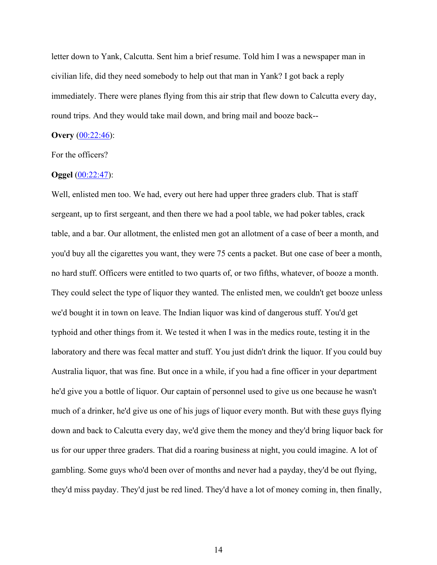letter down to Yank, Calcutta. Sent him a brief resume. Told him I was a newspaper man in civilian life, did they need somebody to help out that man in Yank? I got back a reply immediately. There were planes flying from this air strip that flew down to Calcutta every day, round trips. And they would take mail down, and bring mail and booze back--

### **Overy** (00:22:46):

For the officers?

## **Oggel** (00:22:47):

Well, enlisted men too. We had, every out here had upper three graders club. That is staff sergeant, up to first sergeant, and then there we had a pool table, we had poker tables, crack table, and a bar. Our allotment, the enlisted men got an allotment of a case of beer a month, and you'd buy all the cigarettes you want, they were 75 cents a packet. But one case of beer a month, no hard stuff. Officers were entitled to two quarts of, or two fifths, whatever, of booze a month. They could select the type of liquor they wanted. The enlisted men, we couldn't get booze unless we'd bought it in town on leave. The Indian liquor was kind of dangerous stuff. You'd get typhoid and other things from it. We tested it when I was in the medics route, testing it in the laboratory and there was fecal matter and stuff. You just didn't drink the liquor. If you could buy Australia liquor, that was fine. But once in a while, if you had a fine officer in your department he'd give you a bottle of liquor. Our captain of personnel used to give us one because he wasn't much of a drinker, he'd give us one of his jugs of liquor every month. But with these guys flying down and back to Calcutta every day, we'd give them the money and they'd bring liquor back for us for our upper three graders. That did a roaring business at night, you could imagine. A lot of gambling. Some guys who'd been over of months and never had a payday, they'd be out flying, they'd miss payday. They'd just be red lined. They'd have a lot of money coming in, then finally,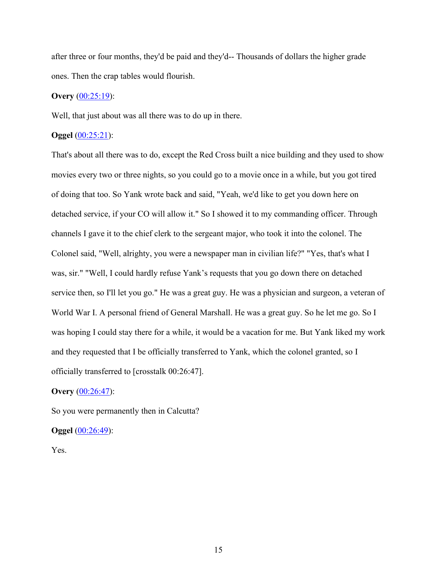after three or four months, they'd be paid and they'd-- Thousands of dollars the higher grade ones. Then the crap tables would flourish.

# **Overy** (00:25:19):

Well, that just about was all there was to do up in there.

## **Oggel** (00:25:21):

That's about all there was to do, except the Red Cross built a nice building and they used to show movies every two or three nights, so you could go to a movie once in a while, but you got tired of doing that too. So Yank wrote back and said, "Yeah, we'd like to get you down here on detached service, if your CO will allow it." So I showed it to my commanding officer. Through channels I gave it to the chief clerk to the sergeant major, who took it into the colonel. The Colonel said, "Well, alrighty, you were a newspaper man in civilian life?" "Yes, that's what I was, sir." "Well, I could hardly refuse Yank's requests that you go down there on detached service then, so I'll let you go." He was a great guy. He was a physician and surgeon, a veteran of World War I. A personal friend of General Marshall. He was a great guy. So he let me go. So I was hoping I could stay there for a while, it would be a vacation for me. But Yank liked my work and they requested that I be officially transferred to Yank, which the colonel granted, so I officially transferred to [crosstalk 00:26:47].

### **Overy** (00:26:47):

So you were permanently then in Calcutta?

### **Oggel** (00:26:49):

Yes.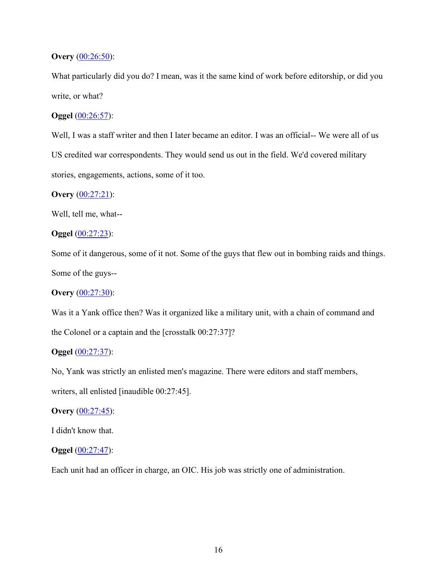### **Overy** (00:26:50):

What particularly did you do? I mean, was it the same kind of work before editorship, or did you write, or what?

# **Oggel** (00:26:57):

Well, I was a staff writer and then I later became an editor. I was an official-- We were all of us US credited war correspondents. They would send us out in the field. We'd covered military stories, engagements, actions, some of it too.

### **Overy** (00:27:21):

Well, tell me, what--

**Oggel** (00:27:23):

Some of it dangerous, some of it not. Some of the guys that flew out in bombing raids and things. Some of the guys--

**Overy** (00:27:30):

Was it a Yank office then? Was it organized like a military unit, with a chain of command and the Colonel or a captain and the [crosstalk 00:27:37]?

# **Oggel** (00:27:37):

No, Yank was strictly an enlisted men's magazine. There were editors and staff members, writers, all enlisted [inaudible 00:27:45].

#### **Overy** (00:27:45):

I didn't know that.

### **Oggel** (00:27:47):

Each unit had an officer in charge, an OIC. His job was strictly one of administration.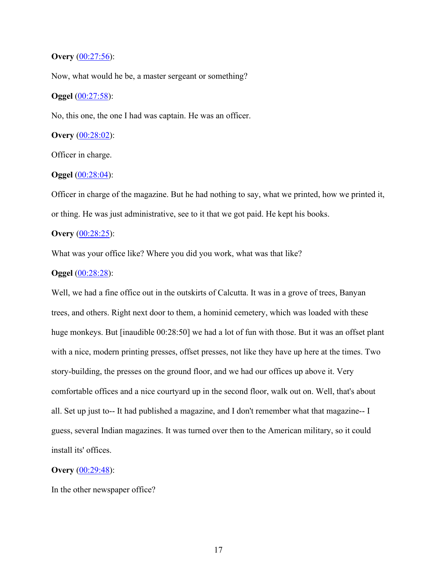### **Overy** (00:27:56):

Now, what would he be, a master sergeant or something?

### **Oggel** (00:27:58):

No, this one, the one I had was captain. He was an officer.

# **Overy** (00:28:02):

Officer in charge.

## **Oggel** (00:28:04):

Officer in charge of the magazine. But he had nothing to say, what we printed, how we printed it, or thing. He was just administrative, see to it that we got paid. He kept his books.

### **Overy** (00:28:25):

What was your office like? Where you did you work, what was that like?

#### **Oggel** (00:28:28):

Well, we had a fine office out in the outskirts of Calcutta. It was in a grove of trees, Banyan trees, and others. Right next door to them, a hominid cemetery, which was loaded with these huge monkeys. But [inaudible 00:28:50] we had a lot of fun with those. But it was an offset plant with a nice, modern printing presses, offset presses, not like they have up here at the times. Two story-building, the presses on the ground floor, and we had our offices up above it. Very comfortable offices and a nice courtyard up in the second floor, walk out on. Well, that's about all. Set up just to-- It had published a magazine, and I don't remember what that magazine-- I guess, several Indian magazines. It was turned over then to the American military, so it could install its' offices.

### **Overy** (00:29:48):

In the other newspaper office?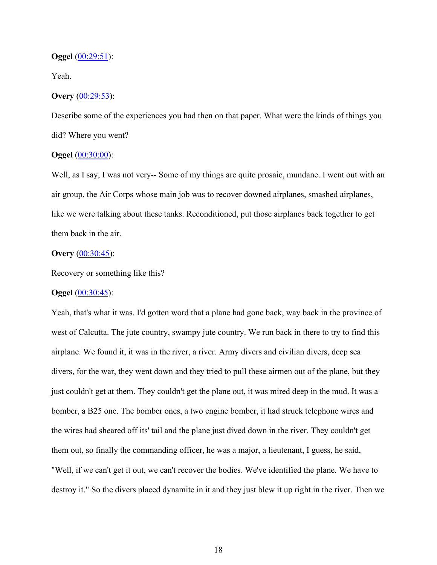#### **Oggel** (00:29:51):

Yeah.

### **Overy** (00:29:53):

Describe some of the experiences you had then on that paper. What were the kinds of things you did? Where you went?

### **Oggel** (00:30:00):

Well, as I say, I was not very-- Some of my things are quite prosaic, mundane. I went out with an air group, the Air Corps whose main job was to recover downed airplanes, smashed airplanes, like we were talking about these tanks. Reconditioned, put those airplanes back together to get them back in the air.

### **Overy** (00:30:45):

Recovery or something like this?

# **Oggel** (00:30:45):

Yeah, that's what it was. I'd gotten word that a plane had gone back, way back in the province of west of Calcutta. The jute country, swampy jute country. We run back in there to try to find this airplane. We found it, it was in the river, a river. Army divers and civilian divers, deep sea divers, for the war, they went down and they tried to pull these airmen out of the plane, but they just couldn't get at them. They couldn't get the plane out, it was mired deep in the mud. It was a bomber, a B25 one. The bomber ones, a two engine bomber, it had struck telephone wires and the wires had sheared off its' tail and the plane just dived down in the river. They couldn't get them out, so finally the commanding officer, he was a major, a lieutenant, I guess, he said, "Well, if we can't get it out, we can't recover the bodies. We've identified the plane. We have to destroy it." So the divers placed dynamite in it and they just blew it up right in the river. Then we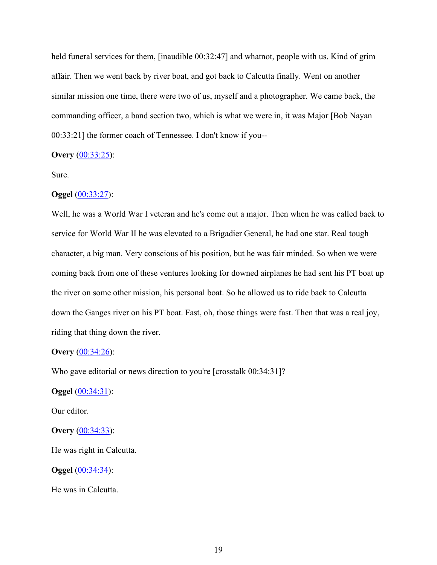held funeral services for them, [inaudible 00:32:47] and whatnot, people with us. Kind of grim affair. Then we went back by river boat, and got back to Calcutta finally. Went on another similar mission one time, there were two of us, myself and a photographer. We came back, the commanding officer, a band section two, which is what we were in, it was Major [Bob Nayan 00:33:21] the former coach of Tennessee. I don't know if you--

### **Overy** (00:33:25):

Sure.

### **Oggel** (00:33:27):

Well, he was a World War I veteran and he's come out a major. Then when he was called back to service for World War II he was elevated to a Brigadier General, he had one star. Real tough character, a big man. Very conscious of his position, but he was fair minded. So when we were coming back from one of these ventures looking for downed airplanes he had sent his PT boat up the river on some other mission, his personal boat. So he allowed us to ride back to Calcutta down the Ganges river on his PT boat. Fast, oh, those things were fast. Then that was a real joy, riding that thing down the river.

#### **Overy** (00:34:26):

Who gave editorial or news direction to you're [crosstalk 00:34:31]?

**Oggel** (00:34:31):

Our editor.

**Overy** (00:34:33):

He was right in Calcutta.

**Oggel** (00:34:34):

He was in Calcutta.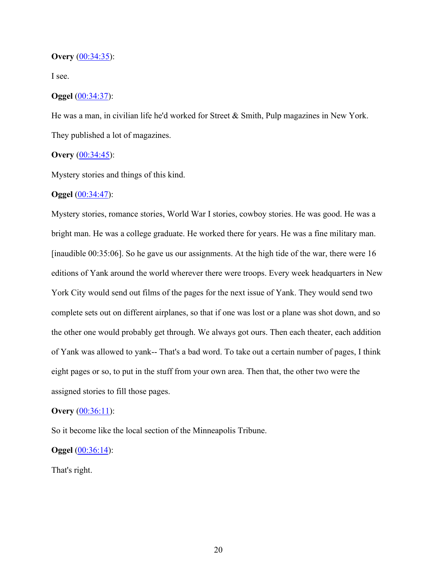#### **Overy** (00:34:35):

I see.

### **Oggel** (00:34:37):

He was a man, in civilian life he'd worked for Street & Smith, Pulp magazines in New York. They published a lot of magazines.

### **Overy** (00:34:45):

Mystery stories and things of this kind.

#### **Oggel** (00:34:47):

Mystery stories, romance stories, World War I stories, cowboy stories. He was good. He was a bright man. He was a college graduate. He worked there for years. He was a fine military man. [inaudible 00:35:06]. So he gave us our assignments. At the high tide of the war, there were 16 editions of Yank around the world wherever there were troops. Every week headquarters in New York City would send out films of the pages for the next issue of Yank. They would send two complete sets out on different airplanes, so that if one was lost or a plane was shot down, and so the other one would probably get through. We always got ours. Then each theater, each addition of Yank was allowed to yank-- That's a bad word. To take out a certain number of pages, I think eight pages or so, to put in the stuff from your own area. Then that, the other two were the assigned stories to fill those pages.

#### **Overy** (00:36:11):

So it become like the local section of the Minneapolis Tribune.

### **Oggel** (00:36:14):

That's right.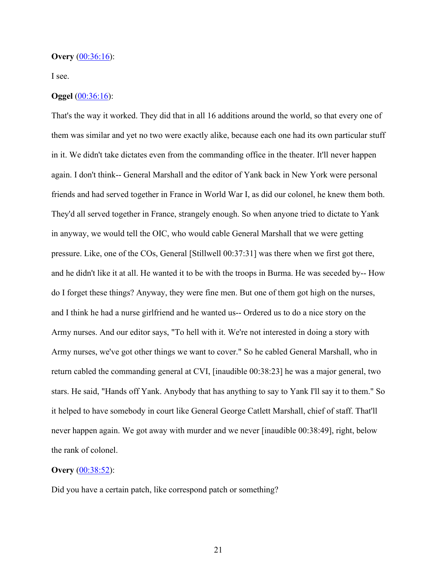#### **Overy** (00:36:16):

I see.

# **Oggel** (00:36:16):

That's the way it worked. They did that in all 16 additions around the world, so that every one of them was similar and yet no two were exactly alike, because each one had its own particular stuff in it. We didn't take dictates even from the commanding office in the theater. It'll never happen again. I don't think-- General Marshall and the editor of Yank back in New York were personal friends and had served together in France in World War I, as did our colonel, he knew them both. They'd all served together in France, strangely enough. So when anyone tried to dictate to Yank in anyway, we would tell the OIC, who would cable General Marshall that we were getting pressure. Like, one of the COs, General [Stillwell 00:37:31] was there when we first got there, and he didn't like it at all. He wanted it to be with the troops in Burma. He was seceded by-- How do I forget these things? Anyway, they were fine men. But one of them got high on the nurses, and I think he had a nurse girlfriend and he wanted us-- Ordered us to do a nice story on the Army nurses. And our editor says, "To hell with it. We're not interested in doing a story with Army nurses, we've got other things we want to cover." So he cabled General Marshall, who in return cabled the commanding general at CVI, [inaudible 00:38:23] he was a major general, two stars. He said, "Hands off Yank. Anybody that has anything to say to Yank I'll say it to them." So it helped to have somebody in court like General George Catlett Marshall, chief of staff. That'll never happen again. We got away with murder and we never [inaudible 00:38:49], right, below the rank of colonel.

### **Overy** (00:38:52):

Did you have a certain patch, like correspond patch or something?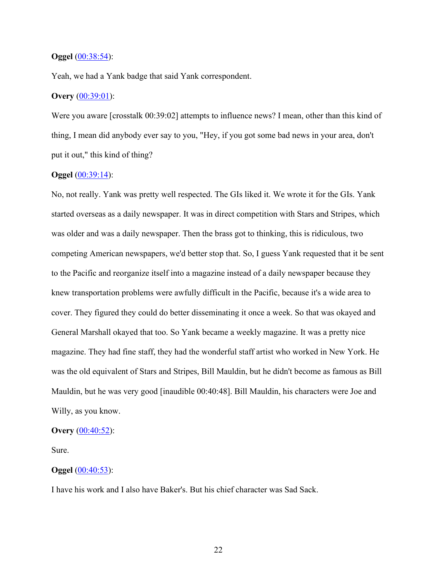#### **Oggel** (00:38:54):

Yeah, we had a Yank badge that said Yank correspondent.

### **Overy** (00:39:01):

Were you aware [crosstalk 00:39:02] attempts to influence news? I mean, other than this kind of thing, I mean did anybody ever say to you, "Hey, if you got some bad news in your area, don't put it out," this kind of thing?

#### **Oggel** (00:39:14):

No, not really. Yank was pretty well respected. The GIs liked it. We wrote it for the GIs. Yank started overseas as a daily newspaper. It was in direct competition with Stars and Stripes, which was older and was a daily newspaper. Then the brass got to thinking, this is ridiculous, two competing American newspapers, we'd better stop that. So, I guess Yank requested that it be sent to the Pacific and reorganize itself into a magazine instead of a daily newspaper because they knew transportation problems were awfully difficult in the Pacific, because it's a wide area to cover. They figured they could do better disseminating it once a week. So that was okayed and General Marshall okayed that too. So Yank became a weekly magazine. It was a pretty nice magazine. They had fine staff, they had the wonderful staff artist who worked in New York. He was the old equivalent of Stars and Stripes, Bill Mauldin, but he didn't become as famous as Bill Mauldin, but he was very good [inaudible 00:40:48]. Bill Mauldin, his characters were Joe and Willy, as you know.

### **Overy** (00:40:52):

Sure.

### **Oggel** (00:40:53):

I have his work and I also have Baker's. But his chief character was Sad Sack.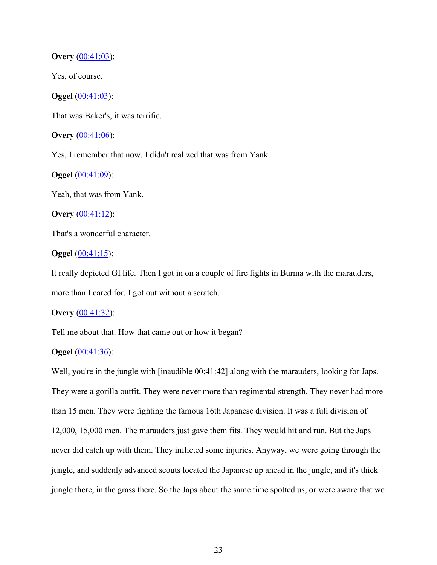### **Overy** (00:41:03):

Yes, of course.

**Oggel** (00:41:03):

That was Baker's, it was terrific.

**Overy** (00:41:06):

Yes, I remember that now. I didn't realized that was from Yank.

**Oggel** (00:41:09):

Yeah, that was from Yank.

**Overy** (00:41:12):

That's a wonderful character.

#### **Oggel** (00:41:15):

It really depicted GI life. Then I got in on a couple of fire fights in Burma with the marauders, more than I cared for. I got out without a scratch.

#### **Overy** (00:41:32):

Tell me about that. How that came out or how it began?

## **Oggel** (00:41:36):

Well, you're in the jungle with [inaudible 00:41:42] along with the marauders, looking for Japs. They were a gorilla outfit. They were never more than regimental strength. They never had more than 15 men. They were fighting the famous 16th Japanese division. It was a full division of 12,000, 15,000 men. The marauders just gave them fits. They would hit and run. But the Japs never did catch up with them. They inflicted some injuries. Anyway, we were going through the jungle, and suddenly advanced scouts located the Japanese up ahead in the jungle, and it's thick jungle there, in the grass there. So the Japs about the same time spotted us, or were aware that we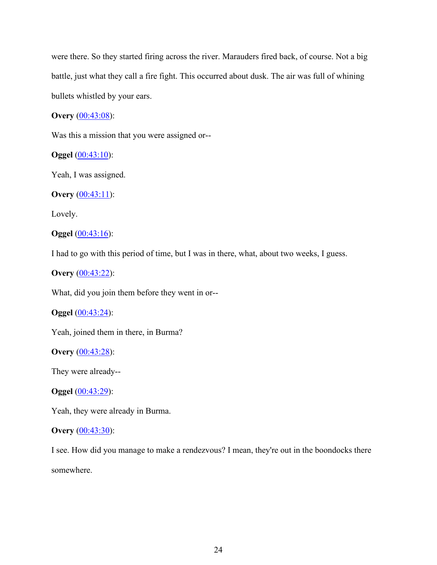were there. So they started firing across the river. Marauders fired back, of course. Not a big battle, just what they call a fire fight. This occurred about dusk. The air was full of whining bullets whistled by your ears.

**Overy** (00:43:08):

Was this a mission that you were assigned or--

**Oggel** (00:43:10):

Yeah, I was assigned.

**Overy** (00:43:11):

Lovely.

**Oggel** (00:43:16):

I had to go with this period of time, but I was in there, what, about two weeks, I guess.

**Overy** (00:43:22):

What, did you join them before they went in or--

**Oggel** (00:43:24):

Yeah, joined them in there, in Burma?

**Overy** (00:43:28):

They were already--

**Oggel** (00:43:29):

Yeah, they were already in Burma.

#### **Overy** (00:43:30):

I see. How did you manage to make a rendezvous? I mean, they're out in the boondocks there

somewhere.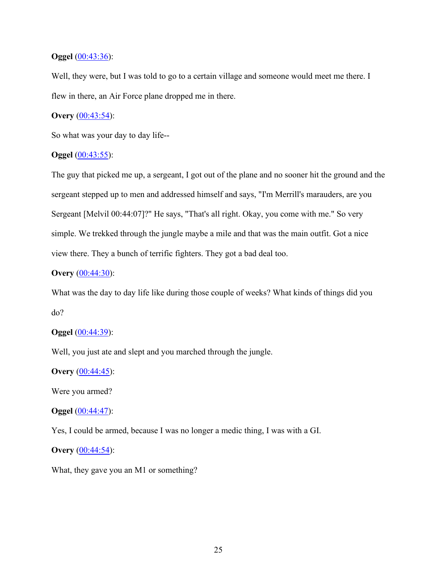### **Oggel** (00:43:36):

Well, they were, but I was told to go to a certain village and someone would meet me there. I flew in there, an Air Force plane dropped me in there.

# **Overy** (00:43:54):

So what was your day to day life--

### **Oggel** (00:43:55):

The guy that picked me up, a sergeant, I got out of the plane and no sooner hit the ground and the sergeant stepped up to men and addressed himself and says, "I'm Merrill's marauders, are you Sergeant [Melvil 00:44:07]?" He says, "That's all right. Okay, you come with me." So very simple. We trekked through the jungle maybe a mile and that was the main outfit. Got a nice view there. They a bunch of terrific fighters. They got a bad deal too.

### **Overy** (00:44:30):

What was the day to day life like during those couple of weeks? What kinds of things did you do?

### **Oggel** (00:44:39):

Well, you just ate and slept and you marched through the jungle.

# **Overy** (00:44:45):

Were you armed?

#### **Oggel** (00:44:47):

Yes, I could be armed, because I was no longer a medic thing, I was with a GI.

### **Overy** (00:44:54):

What, they gave you an M1 or something?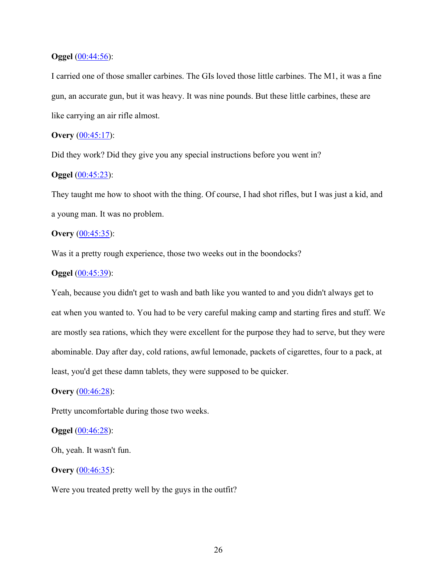### **Oggel** (00:44:56):

I carried one of those smaller carbines. The GIs loved those little carbines. The M1, it was a fine gun, an accurate gun, but it was heavy. It was nine pounds. But these little carbines, these are like carrying an air rifle almost.

# **Overy** (00:45:17):

Did they work? Did they give you any special instructions before you went in?

# **Oggel** (00:45:23):

They taught me how to shoot with the thing. Of course, I had shot rifles, but I was just a kid, and a young man. It was no problem.

# **Overy** (00:45:35):

Was it a pretty rough experience, those two weeks out in the boondocks?

### **Oggel** (00:45:39):

Yeah, because you didn't get to wash and bath like you wanted to and you didn't always get to eat when you wanted to. You had to be very careful making camp and starting fires and stuff. We are mostly sea rations, which they were excellent for the purpose they had to serve, but they were abominable. Day after day, cold rations, awful lemonade, packets of cigarettes, four to a pack, at least, you'd get these damn tablets, they were supposed to be quicker.

# **Overy** (00:46:28):

Pretty uncomfortable during those two weeks.

#### **Oggel** (00:46:28):

Oh, yeah. It wasn't fun.

### **Overy** (00:46:35):

Were you treated pretty well by the guys in the outfit?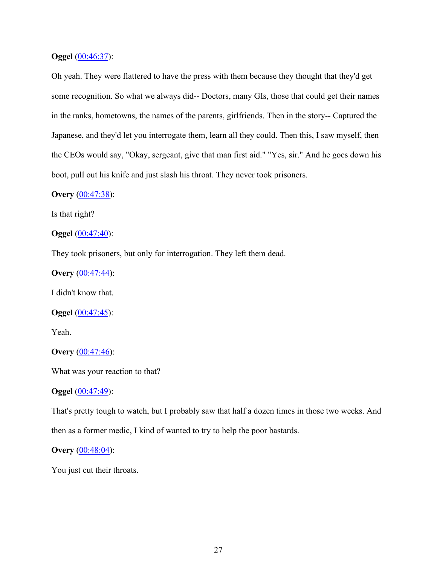#### **Oggel** (00:46:37):

Oh yeah. They were flattered to have the press with them because they thought that they'd get some recognition. So what we always did-- Doctors, many GIs, those that could get their names in the ranks, hometowns, the names of the parents, girlfriends. Then in the story-- Captured the Japanese, and they'd let you interrogate them, learn all they could. Then this, I saw myself, then the CEOs would say, "Okay, sergeant, give that man first aid." "Yes, sir." And he goes down his boot, pull out his knife and just slash his throat. They never took prisoners.

# **Overy** (00:47:38):

Is that right?

**Oggel** (00:47:40):

They took prisoners, but only for interrogation. They left them dead.

**Overy** (00:47:44):

I didn't know that.

**Oggel** (00:47:45):

Yeah.

**Overy** (00:47:46):

What was your reaction to that?

**Oggel** (00:47:49):

That's pretty tough to watch, but I probably saw that half a dozen times in those two weeks. And then as a former medic, I kind of wanted to try to help the poor bastards.

**Overy** (00:48:04):

You just cut their throats.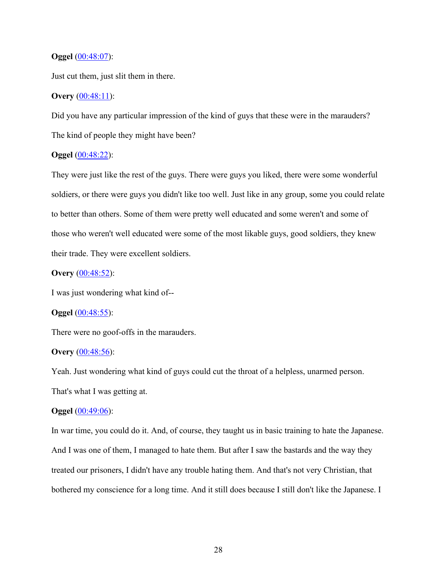#### **Oggel** (00:48:07):

Just cut them, just slit them in there.

## **Overy** (00:48:11):

Did you have any particular impression of the kind of guys that these were in the marauders? The kind of people they might have been?

# **Oggel** (00:48:22):

They were just like the rest of the guys. There were guys you liked, there were some wonderful soldiers, or there were guys you didn't like too well. Just like in any group, some you could relate to better than others. Some of them were pretty well educated and some weren't and some of those who weren't well educated were some of the most likable guys, good soldiers, they knew their trade. They were excellent soldiers.

# **Overy** (00:48:52):

I was just wondering what kind of--

#### **Oggel** (00:48:55):

There were no goof-offs in the marauders.

#### **Overy** (00:48:56):

Yeah. Just wondering what kind of guys could cut the throat of a helpless, unarmed person. That's what I was getting at.

#### **Oggel** (00:49:06):

In war time, you could do it. And, of course, they taught us in basic training to hate the Japanese. And I was one of them, I managed to hate them. But after I saw the bastards and the way they treated our prisoners, I didn't have any trouble hating them. And that's not very Christian, that bothered my conscience for a long time. And it still does because I still don't like the Japanese. I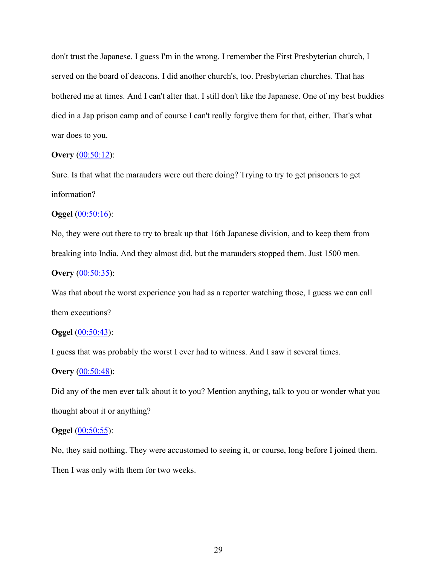don't trust the Japanese. I guess I'm in the wrong. I remember the First Presbyterian church, I served on the board of deacons. I did another church's, too. Presbyterian churches. That has bothered me at times. And I can't alter that. I still don't like the Japanese. One of my best buddies died in a Jap prison camp and of course I can't really forgive them for that, either. That's what war does to you.

### **Overy** (00:50:12):

Sure. Is that what the marauders were out there doing? Trying to try to get prisoners to get information?

# **Oggel** (00:50:16):

No, they were out there to try to break up that 16th Japanese division, and to keep them from breaking into India. And they almost did, but the marauders stopped them. Just 1500 men.

# **Overy** (00:50:35):

Was that about the worst experience you had as a reporter watching those, I guess we can call them executions?

### **Oggel** (00:50:43):

I guess that was probably the worst I ever had to witness. And I saw it several times.

### **Overy** (00:50:48):

Did any of the men ever talk about it to you? Mention anything, talk to you or wonder what you thought about it or anything?

#### **Oggel** (00:50:55):

No, they said nothing. They were accustomed to seeing it, or course, long before I joined them. Then I was only with them for two weeks.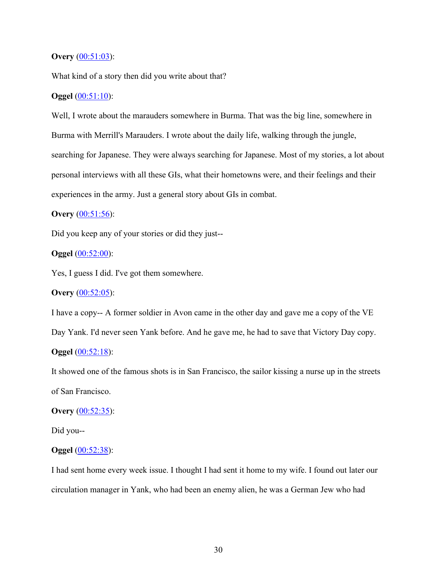### **Overy** (00:51:03):

What kind of a story then did you write about that?

### **Oggel** (00:51:10):

Well, I wrote about the marauders somewhere in Burma. That was the big line, somewhere in Burma with Merrill's Marauders. I wrote about the daily life, walking through the jungle, searching for Japanese. They were always searching for Japanese. Most of my stories, a lot about personal interviews with all these GIs, what their hometowns were, and their feelings and their experiences in the army. Just a general story about GIs in combat.

# **Overy** (00:51:56):

Did you keep any of your stories or did they just--

#### **Oggel** (00:52:00):

Yes, I guess I did. I've got them somewhere.

# **Overy** (00:52:05):

I have a copy-- A former soldier in Avon came in the other day and gave me a copy of the VE Day Yank. I'd never seen Yank before. And he gave me, he had to save that Victory Day copy.

# **Oggel** (00:52:18):

It showed one of the famous shots is in San Francisco, the sailor kissing a nurse up in the streets of San Francisco.

#### **Overy** (00:52:35):

Did you--

### **Oggel** (00:52:38):

I had sent home every week issue. I thought I had sent it home to my wife. I found out later our circulation manager in Yank, who had been an enemy alien, he was a German Jew who had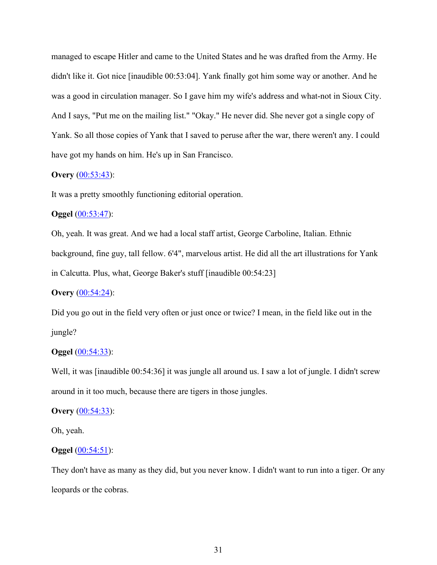managed to escape Hitler and came to the United States and he was drafted from the Army. He didn't like it. Got nice [inaudible 00:53:04]. Yank finally got him some way or another. And he was a good in circulation manager. So I gave him my wife's address and what-not in Sioux City. And I says, "Put me on the mailing list." "Okay." He never did. She never got a single copy of Yank. So all those copies of Yank that I saved to peruse after the war, there weren't any. I could have got my hands on him. He's up in San Francisco.

## **Overy** (00:53:43):

It was a pretty smoothly functioning editorial operation.

# **Oggel** (00:53:47):

Oh, yeah. It was great. And we had a local staff artist, George Carboline, Italian. Ethnic background, fine guy, tall fellow. 6'4", marvelous artist. He did all the art illustrations for Yank in Calcutta. Plus, what, George Baker's stuff [inaudible 00:54:23]

# **Overy** (00:54:24):

Did you go out in the field very often or just once or twice? I mean, in the field like out in the jungle?

#### **Oggel** (00:54:33):

Well, it was [inaudible 00:54:36] it was jungle all around us. I saw a lot of jungle. I didn't screw around in it too much, because there are tigers in those jungles.

#### **Overy** (00:54:33):

Oh, yeah.

# **Oggel** (00:54:51):

They don't have as many as they did, but you never know. I didn't want to run into a tiger. Or any leopards or the cobras.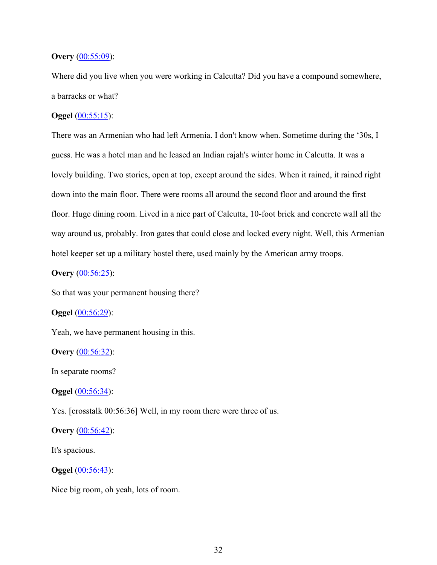### **Overy** (00:55:09):

Where did you live when you were working in Calcutta? Did you have a compound somewhere, a barracks or what?

# **Oggel** (00:55:15):

There was an Armenian who had left Armenia. I don't know when. Sometime during the '30s, I guess. He was a hotel man and he leased an Indian rajah's winter home in Calcutta. It was a lovely building. Two stories, open at top, except around the sides. When it rained, it rained right down into the main floor. There were rooms all around the second floor and around the first floor. Huge dining room. Lived in a nice part of Calcutta, 10-foot brick and concrete wall all the way around us, probably. Iron gates that could close and locked every night. Well, this Armenian hotel keeper set up a military hostel there, used mainly by the American army troops.

# **Overy** (00:56:25):

So that was your permanent housing there?

### **Oggel** (00:56:29):

Yeah, we have permanent housing in this.

**Overy** (00:56:32):

In separate rooms?

**Oggel** (00:56:34):

Yes. [crosstalk 00:56:36] Well, in my room there were three of us.

#### **Overy** (00:56:42):

It's spacious.

#### **Oggel** (00:56:43):

Nice big room, oh yeah, lots of room.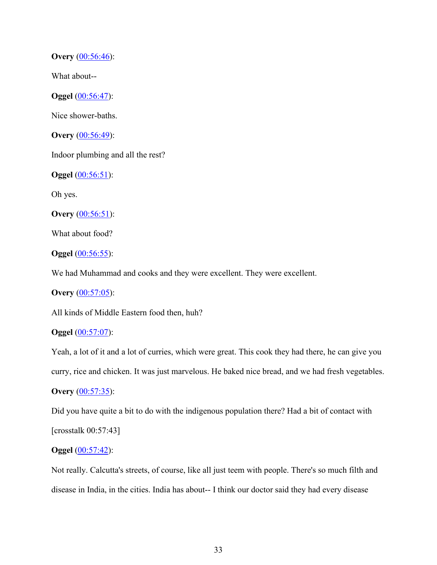**Overy** (00:56:46):

What about--

**Oggel** (00:56:47):

Nice shower-baths.

**Overy** (00:56:49):

Indoor plumbing and all the rest?

**Oggel** (00:56:51):

Oh yes.

**Overy** (00:56:51):

What about food?

**Oggel** (00:56:55):

We had Muhammad and cooks and they were excellent. They were excellent.

**Overy** (00:57:05):

All kinds of Middle Eastern food then, huh?

**Oggel** (00:57:07):

Yeah, a lot of it and a lot of curries, which were great. This cook they had there, he can give you

curry, rice and chicken. It was just marvelous. He baked nice bread, and we had fresh vegetables.

**Overy** (00:57:35):

Did you have quite a bit to do with the indigenous population there? Had a bit of contact with [crosstalk 00:57:43]

# **Oggel** (00:57:42):

Not really. Calcutta's streets, of course, like all just teem with people. There's so much filth and disease in India, in the cities. India has about-- I think our doctor said they had every disease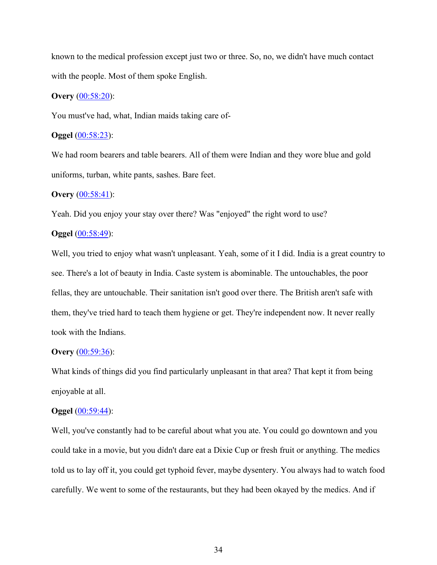known to the medical profession except just two or three. So, no, we didn't have much contact with the people. Most of them spoke English.

### **Overy** (00:58:20):

You must've had, what, Indian maids taking care of-

### **Oggel** (00:58:23):

We had room bearers and table bearers. All of them were Indian and they wore blue and gold uniforms, turban, white pants, sashes. Bare feet.

### **Overy** (00:58:41):

Yeah. Did you enjoy your stay over there? Was "enjoyed" the right word to use?

### **Oggel** (00:58:49):

Well, you tried to enjoy what wasn't unpleasant. Yeah, some of it I did. India is a great country to see. There's a lot of beauty in India. Caste system is abominable. The untouchables, the poor fellas, they are untouchable. Their sanitation isn't good over there. The British aren't safe with them, they've tried hard to teach them hygiene or get. They're independent now. It never really took with the Indians.

#### **Overy** (00:59:36):

What kinds of things did you find particularly unpleasant in that area? That kept it from being enjoyable at all.

#### **Oggel** (00:59:44):

Well, you've constantly had to be careful about what you ate. You could go downtown and you could take in a movie, but you didn't dare eat a Dixie Cup or fresh fruit or anything. The medics told us to lay off it, you could get typhoid fever, maybe dysentery. You always had to watch food carefully. We went to some of the restaurants, but they had been okayed by the medics. And if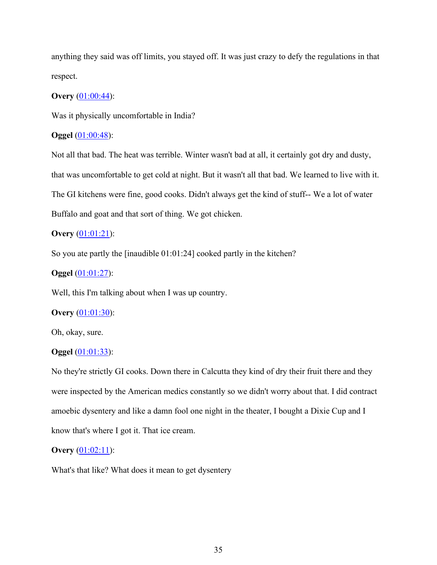anything they said was off limits, you stayed off. It was just crazy to defy the regulations in that respect.

# **Overy** (01:00:44):

Was it physically uncomfortable in India?

# **Oggel** (01:00:48):

Not all that bad. The heat was terrible. Winter wasn't bad at all, it certainly got dry and dusty, that was uncomfortable to get cold at night. But it wasn't all that bad. We learned to live with it. The GI kitchens were fine, good cooks. Didn't always get the kind of stuff-- We a lot of water Buffalo and goat and that sort of thing. We got chicken.

# **Overy** (01:01:21):

So you ate partly the [inaudible 01:01:24] cooked partly in the kitchen?

# **Oggel** (01:01:27):

Well, this I'm talking about when I was up country.

### **Overy** (01:01:30):

Oh, okay, sure.

## **Oggel** (01:01:33):

No they're strictly GI cooks. Down there in Calcutta they kind of dry their fruit there and they were inspected by the American medics constantly so we didn't worry about that. I did contract amoebic dysentery and like a damn fool one night in the theater, I bought a Dixie Cup and I know that's where I got it. That ice cream.

# **Overy** (01:02:11):

What's that like? What does it mean to get dysentery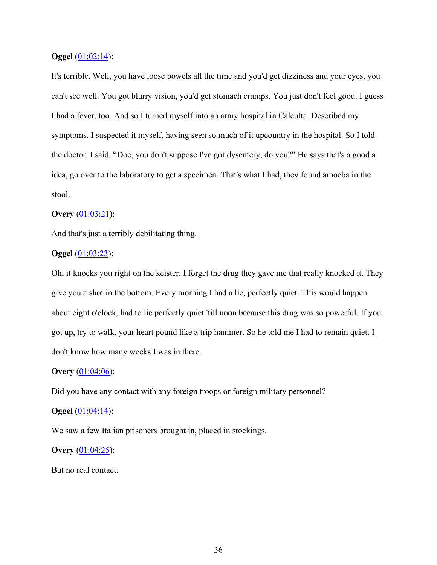### **Oggel** (01:02:14):

It's terrible. Well, you have loose bowels all the time and you'd get dizziness and your eyes, you can't see well. You got blurry vision, you'd get stomach cramps. You just don't feel good. I guess I had a fever, too. And so I turned myself into an army hospital in Calcutta. Described my symptoms. I suspected it myself, having seen so much of it upcountry in the hospital. So I told the doctor, I said, "Doc, you don't suppose I've got dysentery, do you?" He says that's a good a idea, go over to the laboratory to get a specimen. That's what I had, they found amoeba in the stool.

### **Overy** (01:03:21):

And that's just a terribly debilitating thing.

#### **Oggel** (01:03:23):

Oh, it knocks you right on the keister. I forget the drug they gave me that really knocked it. They give you a shot in the bottom. Every morning I had a lie, perfectly quiet. This would happen about eight o'clock, had to lie perfectly quiet 'till noon because this drug was so powerful. If you got up, try to walk, your heart pound like a trip hammer. So he told me I had to remain quiet. I don't know how many weeks I was in there.

### **Overy** (01:04:06):

Did you have any contact with any foreign troops or foreign military personnel?

#### **Oggel** (01:04:14):

We saw a few Italian prisoners brought in, placed in stockings.

#### **Overy** (01:04:25):

But no real contact.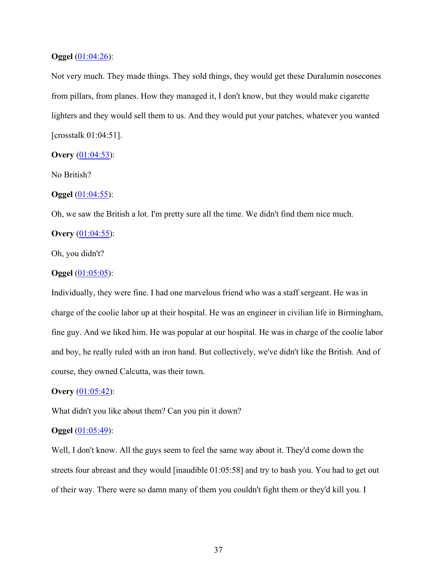### **Oggel** (01:04:26):

Not very much. They made things. They sold things, they would get these Duralumin nosecones from pillars, from planes. How they managed it, I don't know, but they would make cigarette lighters and they would sell them to us. And they would put your patches, whatever you wanted [crosstalk 01:04:51].

### **Overy** (01:04:53):

No British?

### **Oggel** (01:04:55):

Oh, we saw the British a lot. I'm pretty sure all the time. We didn't find them nice much.

### **Overy** (01:04:55):

Oh, you didn't?

#### **Oggel** (01:05:05):

Individually, they were fine. I had one marvelous friend who was a staff sergeant. He was in charge of the coolie labor up at their hospital. He was an engineer in civilian life in Birmingham, fine guy. And we liked him. He was popular at our hospital. He was in charge of the coolie labor and boy, he really ruled with an iron hand. But collectively, we've didn't like the British. And of course, they owned Calcutta, was their town.

### **Overy** (01:05:42):

What didn't you like about them? Can you pin it down?

#### **Oggel** (01:05:49):

Well, I don't know. All the guys seem to feel the same way about it. They'd come down the streets four abreast and they would [inaudible 01:05:58] and try to bash you. You had to get out of their way. There were so damn many of them you couldn't fight them or they'd kill you. I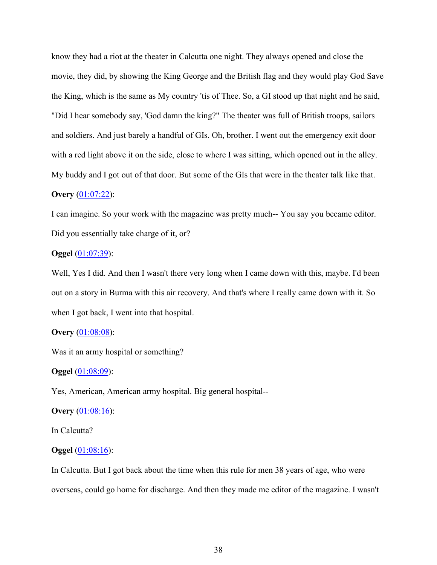know they had a riot at the theater in Calcutta one night. They always opened and close the movie, they did, by showing the King George and the British flag and they would play God Save the King, which is the same as My country 'tis of Thee. So, a GI stood up that night and he said, "Did I hear somebody say, 'God damn the king?" The theater was full of British troops, sailors and soldiers. And just barely a handful of GIs. Oh, brother. I went out the emergency exit door with a red light above it on the side, close to where I was sitting, which opened out in the alley. My buddy and I got out of that door. But some of the GIs that were in the theater talk like that.

# **Overy** (01:07:22):

I can imagine. So your work with the magazine was pretty much-- You say you became editor. Did you essentially take charge of it, or?

#### **Oggel** (01:07:39):

Well, Yes I did. And then I wasn't there very long when I came down with this, maybe. I'd been out on a story in Burma with this air recovery. And that's where I really came down with it. So when I got back, I went into that hospital.

### **Overy** (01:08:08):

Was it an army hospital or something?

#### **Oggel** (01:08:09):

Yes, American, American army hospital. Big general hospital--

#### **Overy** (01:08:16):

In Calcutta?

#### **Oggel** (01:08:16):

In Calcutta. But I got back about the time when this rule for men 38 years of age, who were overseas, could go home for discharge. And then they made me editor of the magazine. I wasn't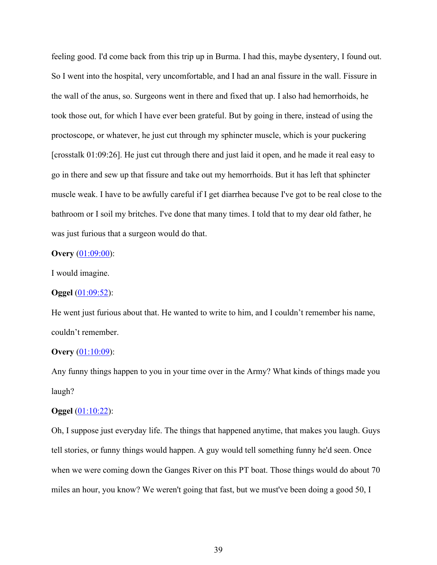feeling good. I'd come back from this trip up in Burma. I had this, maybe dysentery, I found out. So I went into the hospital, very uncomfortable, and I had an anal fissure in the wall. Fissure in the wall of the anus, so. Surgeons went in there and fixed that up. I also had hemorrhoids, he took those out, for which I have ever been grateful. But by going in there, instead of using the proctoscope, or whatever, he just cut through my sphincter muscle, which is your puckering [crosstalk 01:09:26]. He just cut through there and just laid it open, and he made it real easy to go in there and sew up that fissure and take out my hemorrhoids. But it has left that sphincter muscle weak. I have to be awfully careful if I get diarrhea because I've got to be real close to the bathroom or I soil my britches. I've done that many times. I told that to my dear old father, he was just furious that a surgeon would do that.

#### **Overy** (01:09:00):

I would imagine.

#### **Oggel** (01:09:52):

He went just furious about that. He wanted to write to him, and I couldn't remember his name, couldn't remember.

#### **Overy** (01:10:09):

Any funny things happen to you in your time over in the Army? What kinds of things made you laugh?

#### **Oggel** (01:10:22):

Oh, I suppose just everyday life. The things that happened anytime, that makes you laugh. Guys tell stories, or funny things would happen. A guy would tell something funny he'd seen. Once when we were coming down the Ganges River on this PT boat. Those things would do about 70 miles an hour, you know? We weren't going that fast, but we must've been doing a good 50, I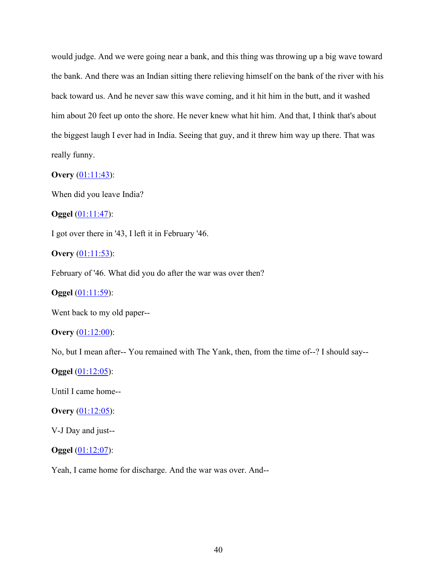would judge. And we were going near a bank, and this thing was throwing up a big wave toward the bank. And there was an Indian sitting there relieving himself on the bank of the river with his back toward us. And he never saw this wave coming, and it hit him in the butt, and it washed him about 20 feet up onto the shore. He never knew what hit him. And that, I think that's about the biggest laugh I ever had in India. Seeing that guy, and it threw him way up there. That was really funny.

### **Overy** (01:11:43):

When did you leave India?

**Oggel** (01:11:47):

I got over there in '43, I left it in February '46.

**Overy** (01:11:53):

February of '46. What did you do after the war was over then?

**Oggel** (01:11:59):

Went back to my old paper--

**Overy** (01:12:00):

No, but I mean after-- You remained with The Yank, then, from the time of--? I should say--

**Oggel** (01:12:05):

Until I came home--

**Overy** (01:12:05):

V-J Day and just--

**Oggel** (01:12:07):

Yeah, I came home for discharge. And the war was over. And--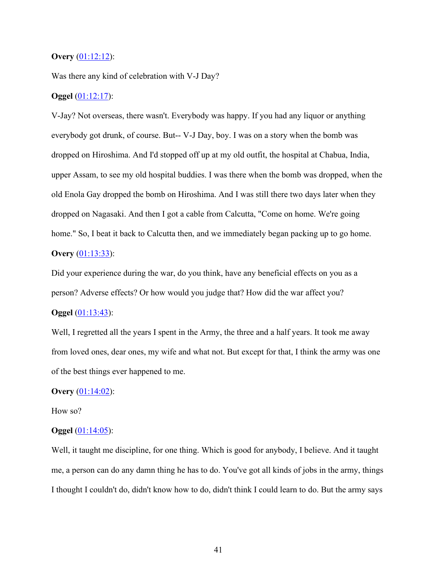#### **Overy** (01:12:12):

Was there any kind of celebration with V-J Day?

### **Oggel** (01:12:17):

V-Jay? Not overseas, there wasn't. Everybody was happy. If you had any liquor or anything everybody got drunk, of course. But-- V-J Day, boy. I was on a story when the bomb was dropped on Hiroshima. And I'd stopped off up at my old outfit, the hospital at Chabua, India, upper Assam, to see my old hospital buddies. I was there when the bomb was dropped, when the old Enola Gay dropped the bomb on Hiroshima. And I was still there two days later when they dropped on Nagasaki. And then I got a cable from Calcutta, "Come on home. We're going home." So, I beat it back to Calcutta then, and we immediately began packing up to go home. **Overy** (01:13:33):

Did your experience during the war, do you think, have any beneficial effects on you as a person? Adverse effects? Or how would you judge that? How did the war affect you?

#### **Oggel** (01:13:43):

Well, I regretted all the years I spent in the Army, the three and a half years. It took me away from loved ones, dear ones, my wife and what not. But except for that, I think the army was one of the best things ever happened to me.

#### **Overy** (01:14:02):

#### How so?

#### **Oggel** (01:14:05):

Well, it taught me discipline, for one thing. Which is good for anybody, I believe. And it taught me, a person can do any damn thing he has to do. You've got all kinds of jobs in the army, things I thought I couldn't do, didn't know how to do, didn't think I could learn to do. But the army says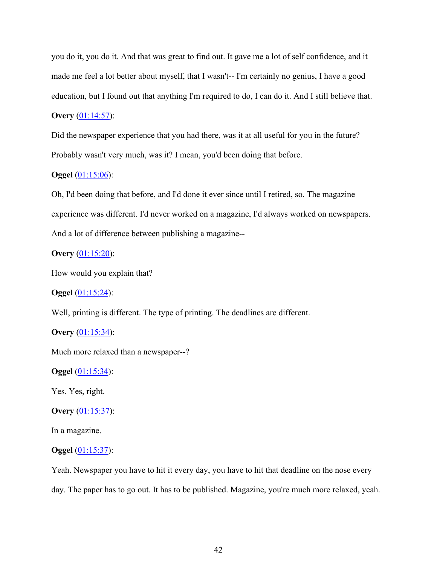you do it, you do it. And that was great to find out. It gave me a lot of self confidence, and it made me feel a lot better about myself, that I wasn't-- I'm certainly no genius, I have a good education, but I found out that anything I'm required to do, I can do it. And I still believe that.

# **Overy** (01:14:57):

Did the newspaper experience that you had there, was it at all useful for you in the future? Probably wasn't very much, was it? I mean, you'd been doing that before.

## **Oggel** (01:15:06):

Oh, I'd been doing that before, and I'd done it ever since until I retired, so. The magazine experience was different. I'd never worked on a magazine, I'd always worked on newspapers. And a lot of difference between publishing a magazine--

# **Overy** (01:15:20):

How would you explain that?

# **Oggel** (01:15:24):

Well, printing is different. The type of printing. The deadlines are different.

# **Overy** (01:15:34):

Much more relaxed than a newspaper--?

#### **Oggel** (01:15:34):

Yes. Yes, right.

#### **Overy** (01:15:37):

In a magazine.

# **Oggel** (01:15:37):

Yeah. Newspaper you have to hit it every day, you have to hit that deadline on the nose every day. The paper has to go out. It has to be published. Magazine, you're much more relaxed, yeah.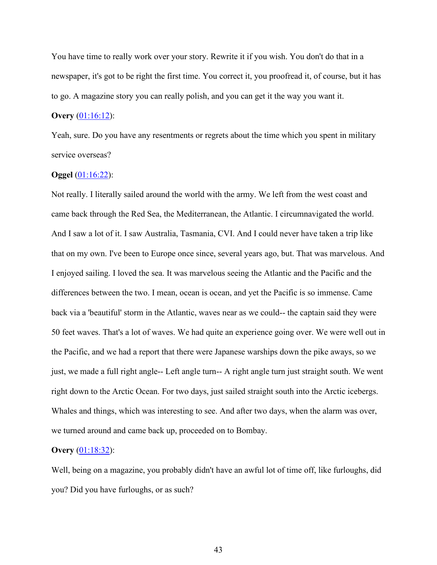You have time to really work over your story. Rewrite it if you wish. You don't do that in a newspaper, it's got to be right the first time. You correct it, you proofread it, of course, but it has to go. A magazine story you can really polish, and you can get it the way you want it.

### **Overy** (01:16:12):

Yeah, sure. Do you have any resentments or regrets about the time which you spent in military service overseas?

#### **Oggel** (01:16:22):

Not really. I literally sailed around the world with the army. We left from the west coast and came back through the Red Sea, the Mediterranean, the Atlantic. I circumnavigated the world. And I saw a lot of it. I saw Australia, Tasmania, CVI. And I could never have taken a trip like that on my own. I've been to Europe once since, several years ago, but. That was marvelous. And I enjoyed sailing. I loved the sea. It was marvelous seeing the Atlantic and the Pacific and the differences between the two. I mean, ocean is ocean, and yet the Pacific is so immense. Came back via a 'beautiful' storm in the Atlantic, waves near as we could-- the captain said they were 50 feet waves. That's a lot of waves. We had quite an experience going over. We were well out in the Pacific, and we had a report that there were Japanese warships down the pike aways, so we just, we made a full right angle-- Left angle turn-- A right angle turn just straight south. We went right down to the Arctic Ocean. For two days, just sailed straight south into the Arctic icebergs. Whales and things, which was interesting to see. And after two days, when the alarm was over, we turned around and came back up, proceeded on to Bombay.

#### **Overy** (01:18:32):

Well, being on a magazine, you probably didn't have an awful lot of time off, like furloughs, did you? Did you have furloughs, or as such?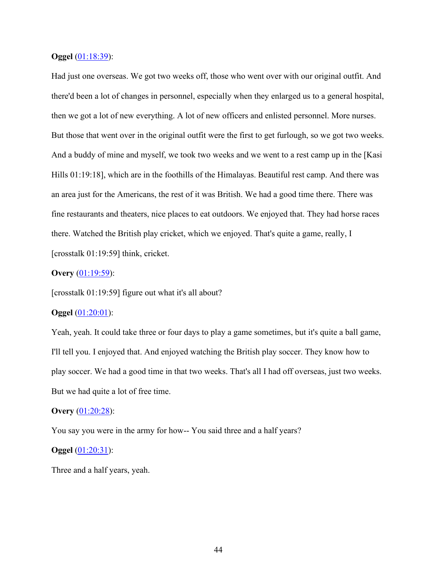#### **Oggel** (01:18:39):

Had just one overseas. We got two weeks off, those who went over with our original outfit. And there'd been a lot of changes in personnel, especially when they enlarged us to a general hospital, then we got a lot of new everything. A lot of new officers and enlisted personnel. More nurses. But those that went over in the original outfit were the first to get furlough, so we got two weeks. And a buddy of mine and myself, we took two weeks and we went to a rest camp up in the [Kasi Hills 01:19:18], which are in the foothills of the Himalayas. Beautiful rest camp. And there was an area just for the Americans, the rest of it was British. We had a good time there. There was fine restaurants and theaters, nice places to eat outdoors. We enjoyed that. They had horse races there. Watched the British play cricket, which we enjoyed. That's quite a game, really, I [crosstalk 01:19:59] think, cricket.

# **Overy** (01:19:59):

[crosstalk 01:19:59] figure out what it's all about?

#### **Oggel** (01:20:01):

Yeah, yeah. It could take three or four days to play a game sometimes, but it's quite a ball game, I'll tell you. I enjoyed that. And enjoyed watching the British play soccer. They know how to play soccer. We had a good time in that two weeks. That's all I had off overseas, just two weeks. But we had quite a lot of free time.

#### **Overy** (01:20:28):

You say you were in the army for how-- You said three and a half years?

### **Oggel** (01:20:31):

Three and a half years, yeah.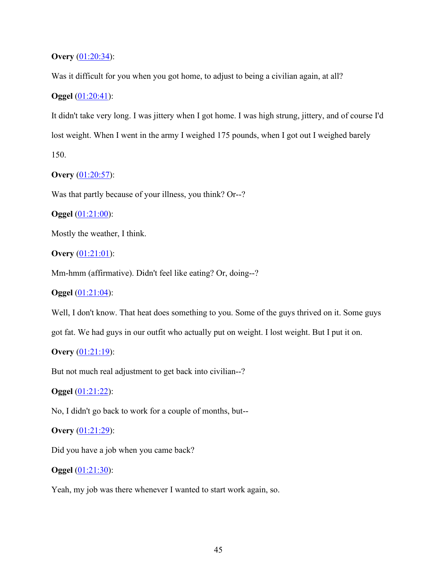# **Overy** (01:20:34):

Was it difficult for you when you got home, to adjust to being a civilian again, at all?

# **Oggel** (01:20:41):

It didn't take very long. I was jittery when I got home. I was high strung, jittery, and of course I'd lost weight. When I went in the army I weighed 175 pounds, when I got out I weighed barely 150.

# **Overy** (01:20:57):

Was that partly because of your illness, you think? Or--?

**Oggel** (01:21:00):

Mostly the weather, I think.

**Overy** (01:21:01):

Mm-hmm (affirmative). Didn't feel like eating? Or, doing--?

**Oggel** (01:21:04):

Well, I don't know. That heat does something to you. Some of the guys thrived on it. Some guys

got fat. We had guys in our outfit who actually put on weight. I lost weight. But I put it on.

# **Overy** (01:21:19):

But not much real adjustment to get back into civilian--?

**Oggel** (01:21:22):

No, I didn't go back to work for a couple of months, but--

# **Overy** (01:21:29):

Did you have a job when you came back?

# **Oggel** (01:21:30):

Yeah, my job was there whenever I wanted to start work again, so.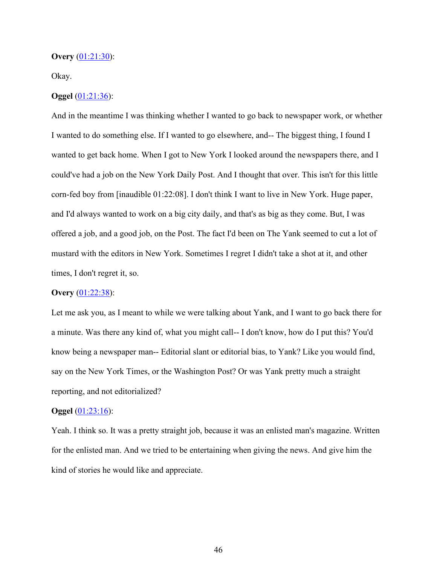### **Overy** (01:21:30):

#### Okay.

# **Oggel** (01:21:36):

And in the meantime I was thinking whether I wanted to go back to newspaper work, or whether I wanted to do something else. If I wanted to go elsewhere, and-- The biggest thing, I found I wanted to get back home. When I got to New York I looked around the newspapers there, and I could've had a job on the New York Daily Post. And I thought that over. This isn't for this little corn-fed boy from [inaudible 01:22:08]. I don't think I want to live in New York. Huge paper, and I'd always wanted to work on a big city daily, and that's as big as they come. But, I was offered a job, and a good job, on the Post. The fact I'd been on The Yank seemed to cut a lot of mustard with the editors in New York. Sometimes I regret I didn't take a shot at it, and other times, I don't regret it, so.

#### **Overy** (01:22:38):

Let me ask you, as I meant to while we were talking about Yank, and I want to go back there for a minute. Was there any kind of, what you might call-- I don't know, how do I put this? You'd know being a newspaper man-- Editorial slant or editorial bias, to Yank? Like you would find, say on the New York Times, or the Washington Post? Or was Yank pretty much a straight reporting, and not editorialized?

#### **Oggel** (01:23:16):

Yeah. I think so. It was a pretty straight job, because it was an enlisted man's magazine. Written for the enlisted man. And we tried to be entertaining when giving the news. And give him the kind of stories he would like and appreciate.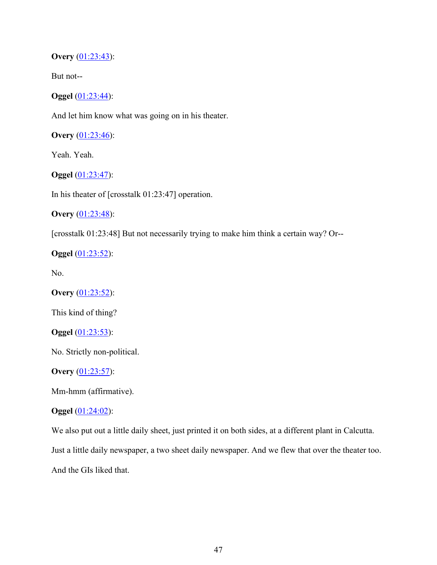**Overy** (01:23:43):

But not--

**Oggel** (01:23:44):

And let him know what was going on in his theater.

**Overy** (01:23:46):

Yeah. Yeah.

**Oggel** (01:23:47):

In his theater of [crosstalk 01:23:47] operation.

**Overy** (01:23:48):

[crosstalk 01:23:48] But not necessarily trying to make him think a certain way? Or--

**Oggel** (01:23:52):

No.

**Overy** (01:23:52):

This kind of thing?

**Oggel** (01:23:53):

No. Strictly non-political.

**Overy** (01:23:57):

Mm-hmm (affirmative).

#### **Oggel** (01:24:02):

We also put out a little daily sheet, just printed it on both sides, at a different plant in Calcutta. Just a little daily newspaper, a two sheet daily newspaper. And we flew that over the theater too.

And the GIs liked that.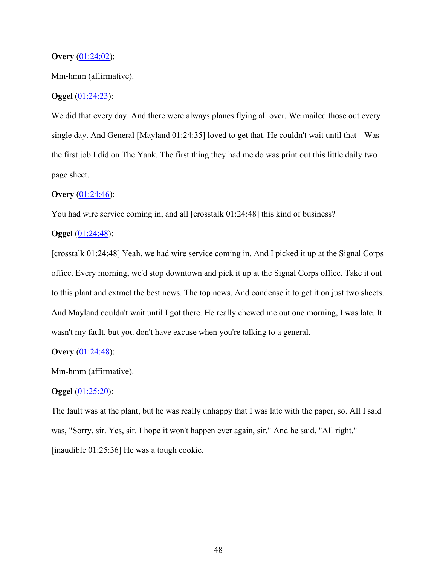#### **Overy** (01:24:02):

#### Mm-hmm (affirmative).

# **Oggel** (01:24:23):

We did that every day. And there were always planes flying all over. We mailed those out every single day. And General [Mayland 01:24:35] loved to get that. He couldn't wait until that-- Was the first job I did on The Yank. The first thing they had me do was print out this little daily two page sheet.

# **Overy** (01:24:46):

You had wire service coming in, and all [crosstalk 01:24:48] this kind of business?

# **Oggel** (01:24:48):

[crosstalk 01:24:48] Yeah, we had wire service coming in. And I picked it up at the Signal Corps office. Every morning, we'd stop downtown and pick it up at the Signal Corps office. Take it out to this plant and extract the best news. The top news. And condense it to get it on just two sheets. And Mayland couldn't wait until I got there. He really chewed me out one morning, I was late. It wasn't my fault, but you don't have excuse when you're talking to a general.

# **Overy** (01:24:48):

Mm-hmm (affirmative).

# **Oggel** (01:25:20):

The fault was at the plant, but he was really unhappy that I was late with the paper, so. All I said was, "Sorry, sir. Yes, sir. I hope it won't happen ever again, sir." And he said, "All right." [inaudible 01:25:36] He was a tough cookie.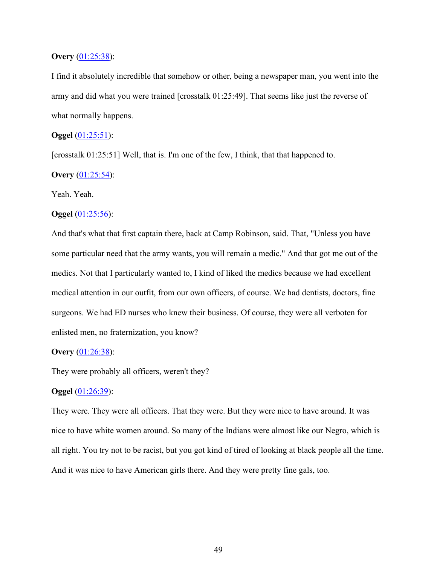### **Overy** (01:25:38):

I find it absolutely incredible that somehow or other, being a newspaper man, you went into the army and did what you were trained [crosstalk 01:25:49]. That seems like just the reverse of what normally happens.

# **Oggel** (01:25:51):

[crosstalk 01:25:51] Well, that is. I'm one of the few, I think, that that happened to.

# **Overy** (01:25:54):

Yeah. Yeah.

### **Oggel** (01:25:56):

And that's what that first captain there, back at Camp Robinson, said. That, "Unless you have some particular need that the army wants, you will remain a medic." And that got me out of the medics. Not that I particularly wanted to, I kind of liked the medics because we had excellent medical attention in our outfit, from our own officers, of course. We had dentists, doctors, fine surgeons. We had ED nurses who knew their business. Of course, they were all verboten for enlisted men, no fraternization, you know?

#### **Overy** (01:26:38):

They were probably all officers, weren't they?

# **Oggel** (01:26:39):

They were. They were all officers. That they were. But they were nice to have around. It was nice to have white women around. So many of the Indians were almost like our Negro, which is all right. You try not to be racist, but you got kind of tired of looking at black people all the time. And it was nice to have American girls there. And they were pretty fine gals, too.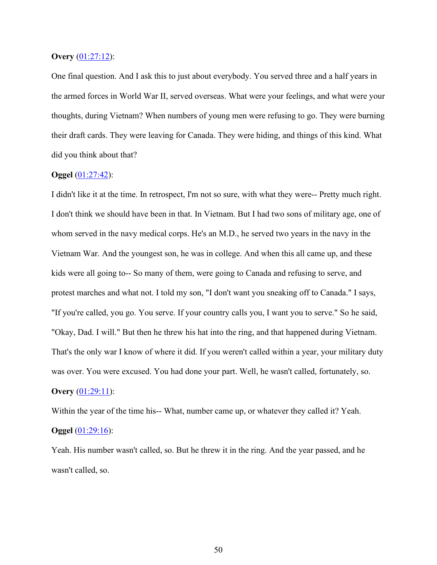#### **Overy** (01:27:12):

One final question. And I ask this to just about everybody. You served three and a half years in the armed forces in World War II, served overseas. What were your feelings, and what were your thoughts, during Vietnam? When numbers of young men were refusing to go. They were burning their draft cards. They were leaving for Canada. They were hiding, and things of this kind. What did you think about that?

## **Oggel** (01:27:42):

I didn't like it at the time. In retrospect, I'm not so sure, with what they were-- Pretty much right. I don't think we should have been in that. In Vietnam. But I had two sons of military age, one of whom served in the navy medical corps. He's an M.D., he served two years in the navy in the Vietnam War. And the youngest son, he was in college. And when this all came up, and these kids were all going to-- So many of them, were going to Canada and refusing to serve, and protest marches and what not. I told my son, "I don't want you sneaking off to Canada." I says, "If you're called, you go. You serve. If your country calls you, I want you to serve." So he said, "Okay, Dad. I will." But then he threw his hat into the ring, and that happened during Vietnam. That's the only war I know of where it did. If you weren't called within a year, your military duty was over. You were excused. You had done your part. Well, he wasn't called, fortunately, so. **Overy** (01:29:11):

Within the year of the time his-- What, number came up, or whatever they called it? Yeah. **Oggel** (01:29:16):

Yeah. His number wasn't called, so. But he threw it in the ring. And the year passed, and he wasn't called, so.